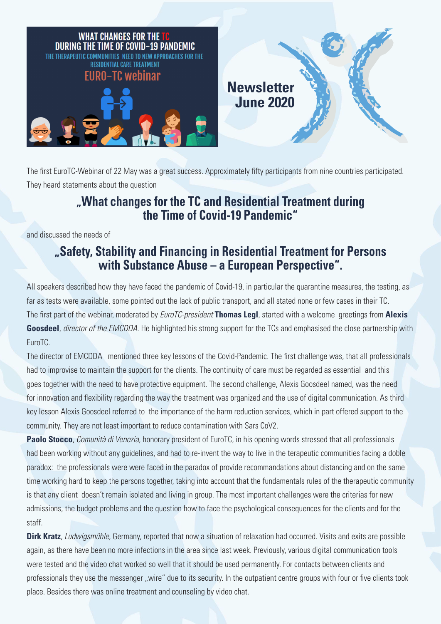

The first EuroTC-Webinar of 22 May was a great success. Approximately fifty participants from nine countries participated. They heard statements about the question

## **"What changes for the TC and Residential Treatment during the Time of Covid-19 Pandemic"**

and discussed the needs of

## **"Safety, Stability and Financing in Residential Treatment for Persons with Substance Abuse – a European Perspective".**

All speakers described how they have faced the pandemic of Covid-19, in particular the quarantine measures, the testing, as far as tests were available, some pointed out the lack of public transport, and all stated none or few cases in their TC. The first part of the webinar, moderated by *EuroTC-president* **Thomas Legl**, started with a welcome greetings from **Alexis Goosdeel**, *director of the EMCDDA*. He highlighted his strong support for the TCs and emphasised the close partnership with EuroTC.

The director of EMCDDA mentioned three key lessons of the Covid-Pandemic. The first challenge was, that all professionals had to improvise to maintain the support for the clients. The continuity of care must be regarded as essential and this goes together with the need to have protective equipment. The second challenge, Alexis Goosdeel named, was the need for innovation and flexibility regarding the way the treatment was organized and the use of digital communication. As third key lesson Alexis Goosdeel referred to the importance of the harm reduction services, which in part offered support to the community. They are not least important to reduce contamination with Sars CoV2.

**Paolo Stocco**, *Comunità di Venezia*, honorary president of EuroTC, in his opening words stressed that all professionals had been working without any guidelines, and had to re-invent the way to live in the terapeutic communities facing a doble paradox: the professionals were were faced in the paradox of provide recommandations about distancing and on the same time working hard to keep the persons together, taking into account that the fundamentals rules of the therapeutic community is that any client doesn't remain isolated and living in group. The most important challenges were the criterias for new admissions, the budget problems and the question how to face the psychological consequences for the clients and for the staff.

**Dirk Kratz**, *Ludwigsmühle*, Germany, reported that now a situation of relaxation had occurred. Visits and exits are possible again, as there have been no more infections in the area since last week. Previously, various digital communication tools were tested and the video chat worked so well that it should be used permanently. For contacts between clients and professionals they use the messenger "wire" due to its security. In the outpatient centre groups with four or five clients took place. Besides there was online treatment and counseling by video chat.